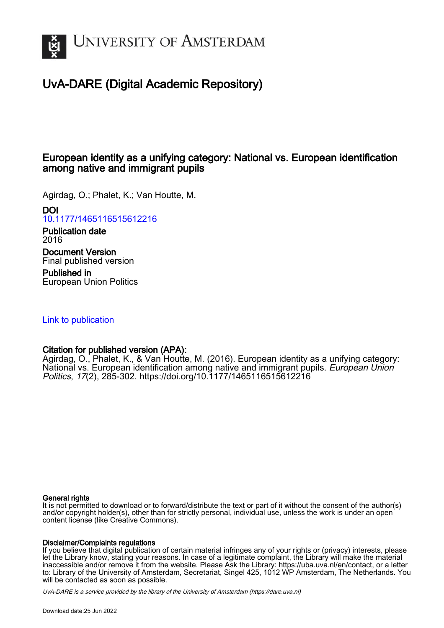

# UvA-DARE (Digital Academic Repository)

## European identity as a unifying category: National vs. European identification among native and immigrant pupils

Agirdag, O.; Phalet, K.; Van Houtte, M.

DOI

[10.1177/1465116515612216](https://doi.org/10.1177/1465116515612216)

Publication date 2016

Document Version Final published version

Published in European Union Politics

[Link to publication](https://dare.uva.nl/personal/pure/en/publications/european-identity-as-a-unifying-category-national-vs-european-identification-among-native-and-immigrant-pupils(851d73d7-bcb6-4630-8909-bb2e734939f3).html)

## Citation for published version (APA):

Agirdag, O., Phalet, K., & Van Houtte, M. (2016). European identity as a unifying category: National vs. European identification among native and immigrant pupils. European Union Politics, 17(2), 285-302. <https://doi.org/10.1177/1465116515612216>

#### General rights

It is not permitted to download or to forward/distribute the text or part of it without the consent of the author(s) and/or copyright holder(s), other than for strictly personal, individual use, unless the work is under an open content license (like Creative Commons).

## Disclaimer/Complaints regulations

If you believe that digital publication of certain material infringes any of your rights or (privacy) interests, please let the Library know, stating your reasons. In case of a legitimate complaint, the Library will make the material inaccessible and/or remove it from the website. Please Ask the Library: https://uba.uva.nl/en/contact, or a letter to: Library of the University of Amsterdam, Secretariat, Singel 425, 1012 WP Amsterdam, The Netherlands. You will be contacted as soon as possible.

UvA-DARE is a service provided by the library of the University of Amsterdam (http*s*://dare.uva.nl)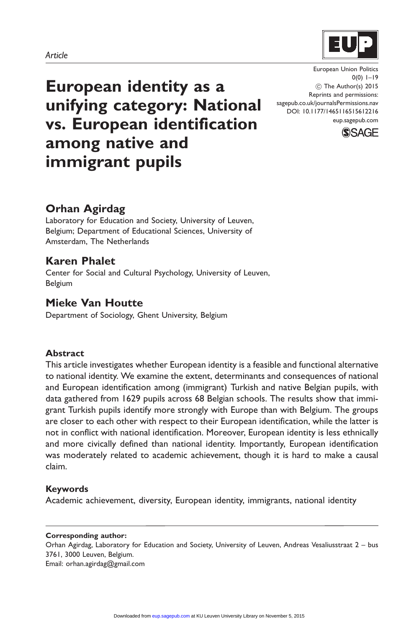#### Article



European identity as a unifying category: National vs. European identification among native and immigrant pupils

European Union Politics  $0(0)$  1–19 ! The Author(s) 2015 Reprints and permissions: sagepub.co.uk/journalsPermissions.nav DOI: 10.1177/1465116515612216 eup.sagepub.com



## Orhan Agirdag

Laboratory for Education and Society, University of Leuven, Belgium; Department of Educational Sciences, University of Amsterdam, The Netherlands

## Karen Phalet

Center for Social and Cultural Psychology, University of Leuven, Belgium

## Mieke Van Houtte

Department of Sociology, Ghent University, Belgium

#### Abstract

This article investigates whether European identity is a feasible and functional alternative to national identity. We examine the extent, determinants and consequences of national and European identification among (immigrant) Turkish and native Belgian pupils, with data gathered from 1629 pupils across 68 Belgian schools. The results show that immigrant Turkish pupils identify more strongly with Europe than with Belgium. The groups are closer to each other with respect to their European identification, while the latter is not in conflict with national identification. Moreover, European identity is less ethnically and more civically defined than national identity. Importantly, European identification was moderately related to academic achievement, though it is hard to make a causal claim.

#### Keywords

Academic achievement, diversity, European identity, immigrants, national identity

#### Corresponding author:

Orhan Agirdag, Laboratory for Education and Society, University of Leuven, Andreas Vesaliusstraat 2 – bus 3761, 3000 Leuven, Belgium. Email: orhan.agirdag@gmail.com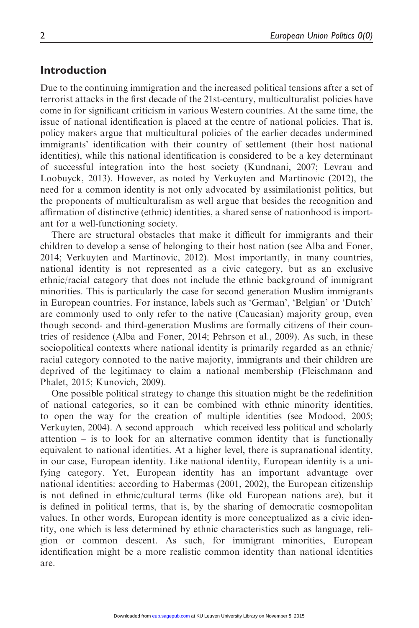## Introduction

Due to the continuing immigration and the increased political tensions after a set of terrorist attacks in the first decade of the 21st-century, multiculturalist policies have come in for significant criticism in various Western countries. At the same time, the issue of national identification is placed at the centre of national policies. That is, policy makers argue that multicultural policies of the earlier decades undermined immigrants' identification with their country of settlement (their host national identities), while this national identification is considered to be a key determinant of successful integration into the host society (Kundnani, 2007; Levrau and Loobuyck, 2013). However, as noted by Verkuyten and Martinovic (2012), the need for a common identity is not only advocated by assimilationist politics, but the proponents of multiculturalism as well argue that besides the recognition and affirmation of distinctive (ethnic) identities, a shared sense of nationhood is important for a well-functioning society.

There are structural obstacles that make it difficult for immigrants and their children to develop a sense of belonging to their host nation (see Alba and Foner, 2014; Verkuyten and Martinovic, 2012). Most importantly, in many countries, national identity is not represented as a civic category, but as an exclusive ethnic/racial category that does not include the ethnic background of immigrant minorities. This is particularly the case for second generation Muslim immigrants in European countries. For instance, labels such as 'German', 'Belgian' or 'Dutch' are commonly used to only refer to the native (Caucasian) majority group, even though second- and third-generation Muslims are formally citizens of their countries of residence (Alba and Foner, 2014; Pehrson et al., 2009). As such, in these sociopolitical contexts where national identity is primarily regarded as an ethnic/ racial category connoted to the native majority, immigrants and their children are deprived of the legitimacy to claim a national membership (Fleischmann and Phalet, 2015; Kunovich, 2009).

One possible political strategy to change this situation might be the redefinition of national categories, so it can be combined with ethnic minority identities, to open the way for the creation of multiple identities (see Modood, 2005; Verkuyten, 2004). A second approach – which received less political and scholarly attention – is to look for an alternative common identity that is functionally equivalent to national identities. At a higher level, there is supranational identity, in our case, European identity. Like national identity, European identity is a unifying category. Yet, European identity has an important advantage over national identities: according to Habermas (2001, 2002), the European citizenship is not defined in ethnic/cultural terms (like old European nations are), but it is defined in political terms, that is, by the sharing of democratic cosmopolitan values. In other words, European identity is more conceptualized as a civic identity, one which is less determined by ethnic characteristics such as language, religion or common descent. As such, for immigrant minorities, European identification might be a more realistic common identity than national identities are.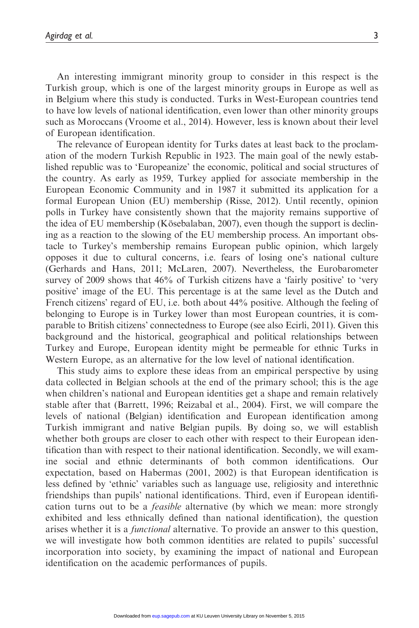An interesting immigrant minority group to consider in this respect is the Turkish group, which is one of the largest minority groups in Europe as well as in Belgium where this study is conducted. Turks in West-European countries tend to have low levels of national identification, even lower than other minority groups such as Moroccans (Vroome et al., 2014). However, less is known about their level of European identification.

The relevance of European identity for Turks dates at least back to the proclamation of the modern Turkish Republic in 1923. The main goal of the newly established republic was to 'Europeanize' the economic, political and social structures of the country. As early as 1959, Turkey applied for associate membership in the European Economic Community and in 1987 it submitted its application for a formal European Union (EU) membership (Risse, 2012). Until recently, opinion polls in Turkey have consistently shown that the majority remains supportive of the idea of EU membership (Kösebalaban, 2007), even though the support is declining as a reaction to the slowing of the EU membership process. An important obstacle to Turkey's membership remains European public opinion, which largely opposes it due to cultural concerns, i.e. fears of losing one's national culture (Gerhards and Hans, 2011; McLaren, 2007). Nevertheless, the Eurobarometer survey of 2009 shows that 46% of Turkish citizens have a 'fairly positive' to 'very positive' image of the EU. This percentage is at the same level as the Dutch and French citizens' regard of EU, i.e. both about 44% positive. Although the feeling of belonging to Europe is in Turkey lower than most European countries, it is comparable to British citizens' connectedness to Europe (see also Ecirli, 2011). Given this background and the historical, geographical and political relationships between Turkey and Europe, European identity might be permeable for ethnic Turks in Western Europe, as an alternative for the low level of national identification.

This study aims to explore these ideas from an empirical perspective by using data collected in Belgian schools at the end of the primary school; this is the age when children's national and European identities get a shape and remain relatively stable after that (Barrett, 1996; Reizabal et al., 2004). First, we will compare the levels of national (Belgian) identification and European identification among Turkish immigrant and native Belgian pupils. By doing so, we will establish whether both groups are closer to each other with respect to their European identification than with respect to their national identification. Secondly, we will examine social and ethnic determinants of both common identifications. Our expectation, based on Habermas (2001, 2002) is that European identification is less defined by 'ethnic' variables such as language use, religiosity and interethnic friendships than pupils' national identifications. Third, even if European identification turns out to be a feasible alternative (by which we mean: more strongly exhibited and less ethnically defined than national identification), the question arises whether it is a functional alternative. To provide an answer to this question, we will investigate how both common identities are related to pupils' successful incorporation into society, by examining the impact of national and European identification on the academic performances of pupils.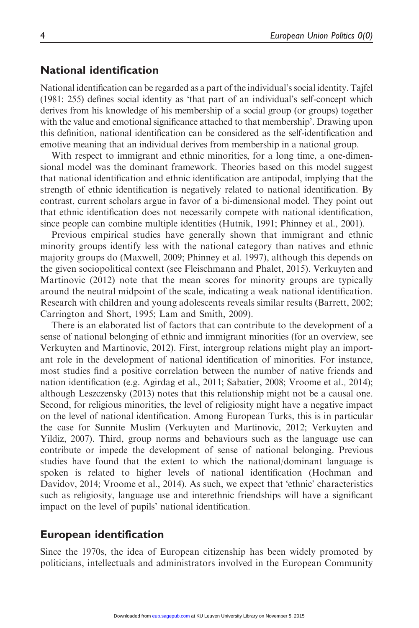#### National identification

National identification can be regarded as a part of the individual's social identity. Tajfel (1981: 255) defines social identity as 'that part of an individual's self-concept which derives from his knowledge of his membership of a social group (or groups) together with the value and emotional significance attached to that membership'. Drawing upon this definition, national identification can be considered as the self-identification and emotive meaning that an individual derives from membership in a national group.

With respect to immigrant and ethnic minorities, for a long time, a one-dimensional model was the dominant framework. Theories based on this model suggest that national identification and ethnic identification are antipodal, implying that the strength of ethnic identification is negatively related to national identification. By contrast, current scholars argue in favor of a bi-dimensional model. They point out that ethnic identification does not necessarily compete with national identification, since people can combine multiple identities (Hutnik, 1991; Phinney et al., 2001).

Previous empirical studies have generally shown that immigrant and ethnic minority groups identify less with the national category than natives and ethnic majority groups do (Maxwell, 2009; Phinney et al. 1997), although this depends on the given sociopolitical context (see Fleischmann and Phalet, 2015). Verkuyten and Martinovic (2012) note that the mean scores for minority groups are typically around the neutral midpoint of the scale, indicating a weak national identification. Research with children and young adolescents reveals similar results (Barrett, 2002; Carrington and Short, 1995; Lam and Smith, 2009).

There is an elaborated list of factors that can contribute to the development of a sense of national belonging of ethnic and immigrant minorities (for an overview, see Verkuyten and Martinovic, 2012). First, intergroup relations might play an important role in the development of national identification of minorities. For instance, most studies find a positive correlation between the number of native friends and nation identification (e.g. Agirdag et al., 2011; Sabatier, 2008; Vroome et al., 2014); although Leszczensky (2013) notes that this relationship might not be a causal one. Second, for religious minorities, the level of religiosity might have a negative impact on the level of national identification. Among European Turks, this is in particular the case for Sunnite Muslim (Verkuyten and Martinovic, 2012; Verkuyten and Yildiz, 2007). Third, group norms and behaviours such as the language use can contribute or impede the development of sense of national belonging. Previous studies have found that the extent to which the national/dominant language is spoken is related to higher levels of national identification (Hochman and Davidov, 2014; Vroome et al., 2014). As such, we expect that 'ethnic' characteristics such as religiosity, language use and interethnic friendships will have a significant impact on the level of pupils' national identification.

### European identification

Since the 1970s, the idea of European citizenship has been widely promoted by politicians, intellectuals and administrators involved in the European Community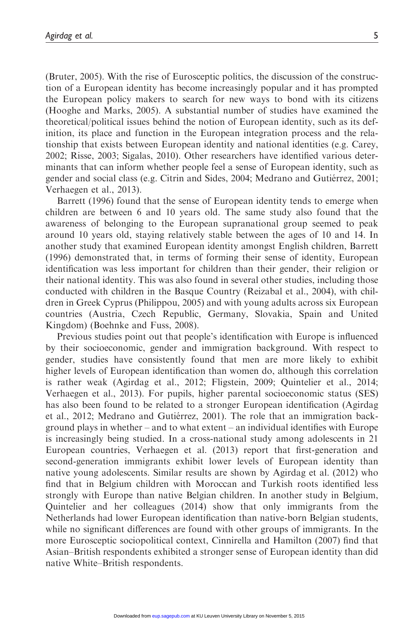(Bruter, 2005). With the rise of Eurosceptic politics, the discussion of the construction of a European identity has become increasingly popular and it has prompted the European policy makers to search for new ways to bond with its citizens (Hooghe and Marks, 2005). A substantial number of studies have examined the theoretical/political issues behind the notion of European identity, such as its definition, its place and function in the European integration process and the relationship that exists between European identity and national identities (e.g. Carey, 2002; Risse, 2003; Sigalas, 2010). Other researchers have identified various determinants that can inform whether people feel a sense of European identity, such as gender and social class (e.g. Citrin and Sides, 2004; Medrano and Gutiérrez, 2001; Verhaegen et al., 2013).

Barrett (1996) found that the sense of European identity tends to emerge when children are between 6 and 10 years old. The same study also found that the awareness of belonging to the European supranational group seemed to peak around 10 years old, staying relatively stable between the ages of 10 and 14. In another study that examined European identity amongst English children, Barrett (1996) demonstrated that, in terms of forming their sense of identity, European identification was less important for children than their gender, their religion or their national identity. This was also found in several other studies, including those conducted with children in the Basque Country (Reizabal et al., 2004), with children in Greek Cyprus (Philippou, 2005) and with young adults across six European countries (Austria, Czech Republic, Germany, Slovakia, Spain and United Kingdom) (Boehnke and Fuss, 2008).

Previous studies point out that people's identification with Europe is influenced by their socioeconomic, gender and immigration background. With respect to gender, studies have consistently found that men are more likely to exhibit higher levels of European identification than women do, although this correlation is rather weak (Agirdag et al., 2012; Fligstein, 2009; Quintelier et al., 2014; Verhaegen et al., 2013). For pupils, higher parental socioeconomic status (SES) has also been found to be related to a stronger European identification (Agirdag et al., 2012; Medrano and Gutiérrez, 2001). The role that an immigration background plays in whether – and to what extent – an individual identifies with Europe is increasingly being studied. In a cross-national study among adolescents in 21 European countries, Verhaegen et al. (2013) report that first-generation and second-generation immigrants exhibit lower levels of European identity than native young adolescents. Similar results are shown by Agirdag et al. (2012) who find that in Belgium children with Moroccan and Turkish roots identified less strongly with Europe than native Belgian children. In another study in Belgium, Quintelier and her colleagues (2014) show that only immigrants from the Netherlands had lower European identification than native-born Belgian students, while no significant differences are found with other groups of immigrants. In the more Eurosceptic sociopolitical context, Cinnirella and Hamilton (2007) find that Asian–British respondents exhibited a stronger sense of European identity than did native White–British respondents.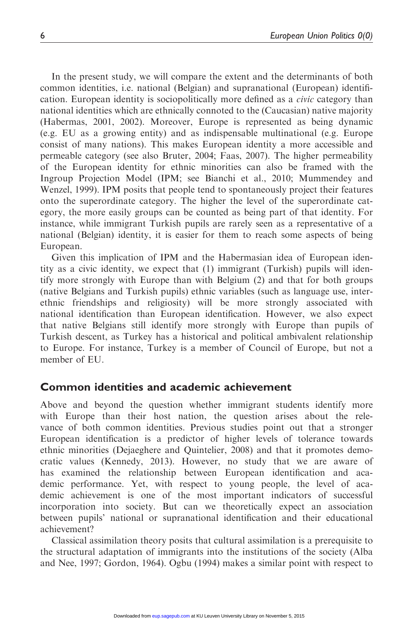In the present study, we will compare the extent and the determinants of both common identities, i.e. national (Belgian) and supranational (European) identification. European identity is sociopolitically more defined as a *civic* category than national identities which are ethnically connoted to the (Caucasian) native majority (Habermas, 2001, 2002). Moreover, Europe is represented as being dynamic (e.g. EU as a growing entity) and as indispensable multinational (e.g. Europe consist of many nations). This makes European identity a more accessible and permeable category (see also Bruter, 2004; Faas, 2007). The higher permeability of the European identity for ethnic minorities can also be framed with the Ingroup Projection Model (IPM; see Bianchi et al., 2010; Mummendey and Wenzel, 1999). IPM posits that people tend to spontaneously project their features onto the superordinate category. The higher the level of the superordinate category, the more easily groups can be counted as being part of that identity. For instance, while immigrant Turkish pupils are rarely seen as a representative of a national (Belgian) identity, it is easier for them to reach some aspects of being European.

Given this implication of IPM and the Habermasian idea of European identity as a civic identity, we expect that (1) immigrant (Turkish) pupils will identify more strongly with Europe than with Belgium (2) and that for both groups (native Belgians and Turkish pupils) ethnic variables (such as language use, interethnic friendships and religiosity) will be more strongly associated with national identification than European identification. However, we also expect that native Belgians still identify more strongly with Europe than pupils of Turkish descent, as Turkey has a historical and political ambivalent relationship to Europe. For instance, Turkey is a member of Council of Europe, but not a member of EU.

#### Common identities and academic achievement

Above and beyond the question whether immigrant students identify more with Europe than their host nation, the question arises about the relevance of both common identities. Previous studies point out that a stronger European identification is a predictor of higher levels of tolerance towards ethnic minorities (Dejaeghere and Quintelier, 2008) and that it promotes democratic values (Kennedy, 2013). However, no study that we are aware of has examined the relationship between European identification and academic performance. Yet, with respect to young people, the level of academic achievement is one of the most important indicators of successful incorporation into society. But can we theoretically expect an association between pupils' national or supranational identification and their educational achievement?

Classical assimilation theory posits that cultural assimilation is a prerequisite to the structural adaptation of immigrants into the institutions of the society (Alba and Nee, 1997; Gordon, 1964). Ogbu (1994) makes a similar point with respect to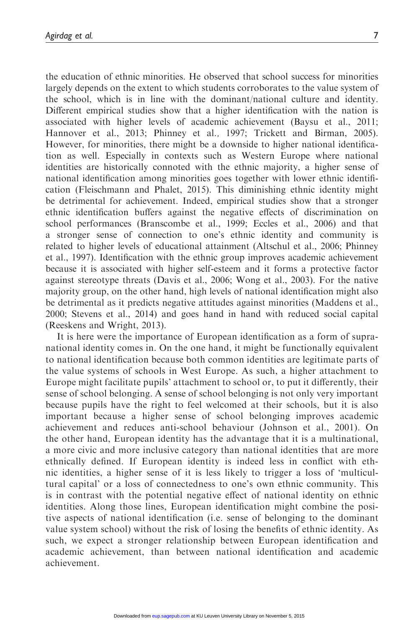the education of ethnic minorities. He observed that school success for minorities largely depends on the extent to which students corroborates to the value system of the school, which is in line with the dominant/national culture and identity. Different empirical studies show that a higher identification with the nation is associated with higher levels of academic achievement (Baysu et al., 2011; Hannover et al., 2013; Phinney et al., 1997; Trickett and Birman, 2005). However, for minorities, there might be a downside to higher national identification as well. Especially in contexts such as Western Europe where national identities are historically connoted with the ethnic majority, a higher sense of national identification among minorities goes together with lower ethnic identification (Fleischmann and Phalet, 2015). This diminishing ethnic identity might be detrimental for achievement. Indeed, empirical studies show that a stronger ethnic identification buffers against the negative effects of discrimination on school performances (Branscombe et al., 1999; Eccles et al., 2006) and that a stronger sense of connection to one's ethnic identity and community is related to higher levels of educational attainment (Altschul et al., 2006; Phinney et al., 1997). Identification with the ethnic group improves academic achievement because it is associated with higher self-esteem and it forms a protective factor against stereotype threats (Davis et al., 2006; Wong et al., 2003). For the native majority group, on the other hand, high levels of national identification might also be detrimental as it predicts negative attitudes against minorities (Maddens et al., 2000; Stevens et al., 2014) and goes hand in hand with reduced social capital (Reeskens and Wright, 2013).

It is here were the importance of European identification as a form of supranational identity comes in. On the one hand, it might be functionally equivalent to national identification because both common identities are legitimate parts of the value systems of schools in West Europe. As such, a higher attachment to Europe might facilitate pupils' attachment to school or, to put it differently, their sense of school belonging. A sense of school belonging is not only very important because pupils have the right to feel welcomed at their schools, but it is also important because a higher sense of school belonging improves academic achievement and reduces anti-school behaviour (Johnson et al., 2001). On the other hand, European identity has the advantage that it is a multinational, a more civic and more inclusive category than national identities that are more ethnically defined. If European identity is indeed less in conflict with ethnic identities, a higher sense of it is less likely to trigger a loss of 'multicultural capital' or a loss of connectedness to one's own ethnic community. This is in contrast with the potential negative effect of national identity on ethnic identities. Along those lines, European identification might combine the positive aspects of national identification (i.e. sense of belonging to the dominant value system school) without the risk of losing the benefits of ethnic identity. As such, we expect a stronger relationship between European identification and academic achievement, than between national identification and academic achievement.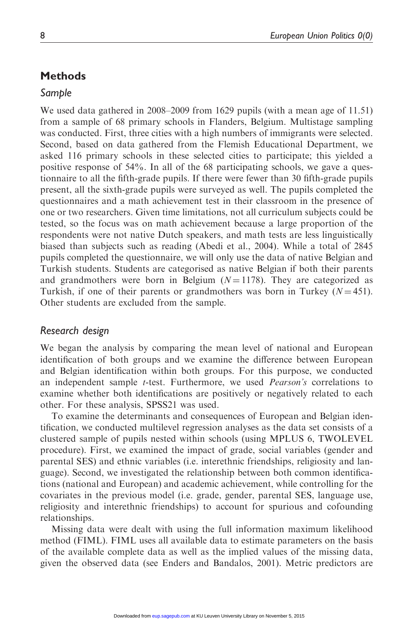## **Methods**

#### Sample

We used data gathered in 2008–2009 from 1629 pupils (with a mean age of 11.51) from a sample of 68 primary schools in Flanders, Belgium. Multistage sampling was conducted. First, three cities with a high numbers of immigrants were selected. Second, based on data gathered from the Flemish Educational Department, we asked 116 primary schools in these selected cities to participate; this yielded a positive response of 54%. In all of the 68 participating schools, we gave a questionnaire to all the fifth-grade pupils. If there were fewer than 30 fifth-grade pupils present, all the sixth-grade pupils were surveyed as well. The pupils completed the questionnaires and a math achievement test in their classroom in the presence of one or two researchers. Given time limitations, not all curriculum subjects could be tested, so the focus was on math achievement because a large proportion of the respondents were not native Dutch speakers, and math tests are less linguistically biased than subjects such as reading (Abedi et al., 2004). While a total of 2845 pupils completed the questionnaire, we will only use the data of native Belgian and Turkish students. Students are categorised as native Belgian if both their parents and grandmothers were born in Belgium ( $N = 1178$ ). They are categorized as Turkish, if one of their parents or grandmothers was born in Turkey  $(N = 451)$ . Other students are excluded from the sample.

### Research design

We began the analysis by comparing the mean level of national and European identification of both groups and we examine the difference between European and Belgian identification within both groups. For this purpose, we conducted an independent sample t-test. Furthermore, we used *Pearson's* correlations to examine whether both identifications are positively or negatively related to each other. For these analysis, SPSS21 was used.

To examine the determinants and consequences of European and Belgian identification, we conducted multilevel regression analyses as the data set consists of a clustered sample of pupils nested within schools (using MPLUS 6, TWOLEVEL procedure). First, we examined the impact of grade, social variables (gender and parental SES) and ethnic variables (i.e. interethnic friendships, religiosity and language). Second, we investigated the relationship between both common identifications (national and European) and academic achievement, while controlling for the covariates in the previous model (i.e. grade, gender, parental SES, language use, religiosity and interethnic friendships) to account for spurious and cofounding relationships.

Missing data were dealt with using the full information maximum likelihood method (FIML). FIML uses all available data to estimate parameters on the basis of the available complete data as well as the implied values of the missing data, given the observed data (see Enders and Bandalos, 2001). Metric predictors are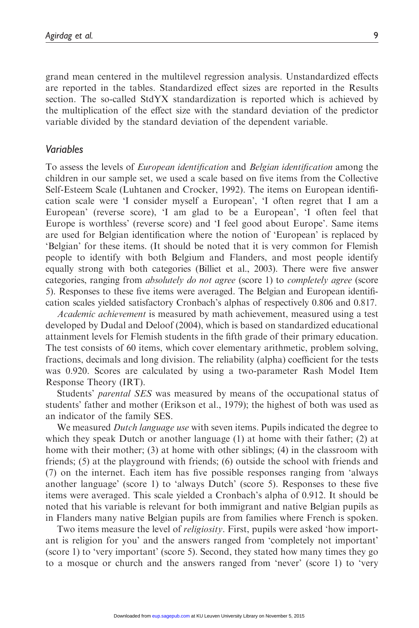grand mean centered in the multilevel regression analysis. Unstandardized effects are reported in the tables. Standardized effect sizes are reported in the Results section. The so-called StdYX standardization is reported which is achieved by the multiplication of the effect size with the standard deviation of the predictor variable divided by the standard deviation of the dependent variable.

#### Variables

To assess the levels of European identification and Belgian identification among the children in our sample set, we used a scale based on five items from the Collective Self-Esteem Scale (Luhtanen and Crocker, 1992). The items on European identification scale were 'I consider myself a European', 'I often regret that I am a European' (reverse score), 'I am glad to be a European', 'I often feel that Europe is worthless' (reverse score) and 'I feel good about Europe'. Same items are used for Belgian identification where the notion of 'European' is replaced by 'Belgian' for these items. (It should be noted that it is very common for Flemish people to identify with both Belgium and Flanders, and most people identify equally strong with both categories (Billiet et al., 2003). There were five answer categories, ranging from absolutely do not agree (score 1) to completely agree (score 5). Responses to these five items were averaged. The Belgian and European identification scales yielded satisfactory Cronbach's alphas of respectively 0.806 and 0.817.

Academic achievement is measured by math achievement, measured using a test developed by Dudal and Deloof (2004), which is based on standardized educational attainment levels for Flemish students in the fifth grade of their primary education. The test consists of 60 items, which cover elementary arithmetic, problem solving, fractions, decimals and long division. The reliability (alpha) coefficient for the tests was 0.920. Scores are calculated by using a two-parameter Rash Model Item Response Theory (IRT).

Students' parental SES was measured by means of the occupational status of students' father and mother (Erikson et al., 1979); the highest of both was used as an indicator of the family SES.

We measured *Dutch language use* with seven items. Pupils indicated the degree to which they speak Dutch or another language (1) at home with their father; (2) at home with their mother; (3) at home with other siblings; (4) in the classroom with friends; (5) at the playground with friends; (6) outside the school with friends and (7) on the internet. Each item has five possible responses ranging from 'always another language' (score 1) to 'always Dutch' (score 5). Responses to these five items were averaged. This scale yielded a Cronbach's alpha of 0.912. It should be noted that his variable is relevant for both immigrant and native Belgian pupils as in Flanders many native Belgian pupils are from families where French is spoken.

Two items measure the level of *religiosity*. First, pupils were asked 'how important is religion for you' and the answers ranged from 'completely not important' (score 1) to 'very important' (score 5). Second, they stated how many times they go to a mosque or church and the answers ranged from 'never' (score 1) to 'very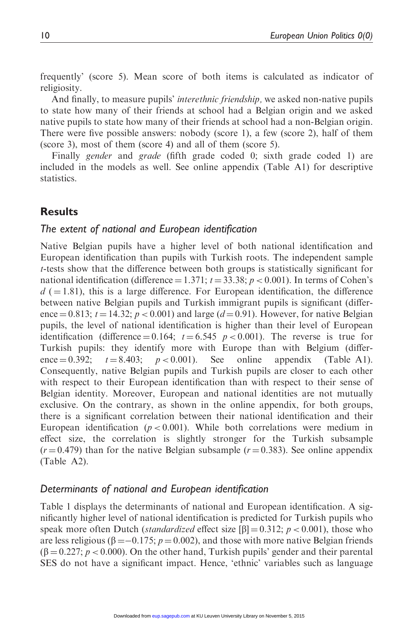frequently' (score 5). Mean score of both items is calculated as indicator of religiosity.

And finally, to measure pupils' interethnic friendship, we asked non-native pupils to state how many of their friends at school had a Belgian origin and we asked native pupils to state how many of their friends at school had a non-Belgian origin. There were five possible answers: nobody (score 1), a few (score 2), half of them (score 3), most of them (score 4) and all of them (score 5).

Finally *gender* and *grade* (fifth grade coded 0; sixth grade coded 1) are included in the models as well. See online appendix (Table A1) for descriptive statistics.

#### Results

#### The extent of national and European identification

Native Belgian pupils have a higher level of both national identification and European identification than pupils with Turkish roots. The independent sample t-tests show that the difference between both groups is statistically significant for national identification (difference  $= 1.371$ ;  $t = 33.38$ ;  $p < 0.001$ ). In terms of Cohen's  $d$  ( $= 1.81$ ), this is a large difference. For European identification, the difference between native Belgian pupils and Turkish immigrant pupils is significant (difference = 0.813;  $t = 14.32$ ;  $p < 0.001$ ) and large ( $d = 0.91$ ). However, for native Belgian pupils, the level of national identification is higher than their level of European identification (difference = 0.164;  $t = 6.545$  p < 0.001). The reverse is true for Turkish pupils: they identify more with Europe than with Belgium (difference  $= 0.392$ ;  $t = 8.403$ ;  $p < 0.001$ ). See online appendix (Table A1). Consequently, native Belgian pupils and Turkish pupils are closer to each other with respect to their European identification than with respect to their sense of Belgian identity. Moreover, European and national identities are not mutually exclusive. On the contrary, as shown in the online appendix, for both groups, there is a significant correlation between their national identification and their European identification ( $p < 0.001$ ). While both correlations were medium in effect size, the correlation is slightly stronger for the Turkish subsample  $(r=0.479)$  than for the native Belgian subsample  $(r=0.383)$ . See online appendix (Table A2).

#### Determinants of national and European identification

Table 1 displays the determinants of national and European identification. A significantly higher level of national identification is predicted for Turkish pupils who speak more often Dutch (*standardized* effect size  $[\beta] = 0.312$ ;  $p < 0.001$ ), those who are less religious ( $\beta = -0.175$ ;  $p = 0.002$ ), and those with more native Belgian friends  $(\beta = 0.227; p < 0.000)$ . On the other hand, Turkish pupils' gender and their parental SES do not have a significant impact. Hence, 'ethnic' variables such as language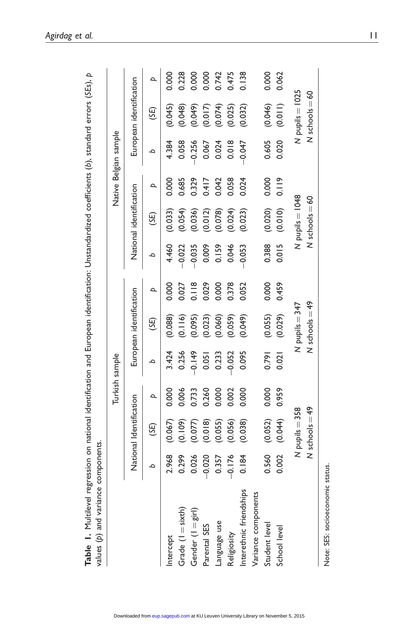| values (p) and varianc<br>Table I. Multilevel | e components. | regression on national identification and European identification: Unstandardized coefficients (b), standard errors (SEs), p |       |                |                         |       |          |                         |       |                       |                         |       |
|-----------------------------------------------|---------------|------------------------------------------------------------------------------------------------------------------------------|-------|----------------|-------------------------|-------|----------|-------------------------|-------|-----------------------|-------------------------|-------|
|                                               |               |                                                                                                                              |       | Turkish sample |                         |       |          |                         |       | Native Belgian sample |                         |       |
|                                               |               | National Identification                                                                                                      |       |                | European identification |       |          | National identification |       |                       | European identification |       |
|                                               | م             | (35)                                                                                                                         | Þ     | م              | (SE)                    | Þ     | ٩        | (35)                    | Þ     | ٩                     | (SE)                    | Þ     |
| Intercept                                     | 2.968         | (0.067)                                                                                                                      | 0.000 | 3.424          | (0.088)                 | 0.000 | 4.460    | (0.033)                 | 0.000 | 4.384                 | (0.045)                 | 0.000 |
| Grade $(I = s(xth)$                           | 0.299         | (0.109)                                                                                                                      | 0.006 | 0.256          | (0.116)                 | 0.027 | $-0.022$ | (0.054)                 | 0.685 | 0.058                 | (0.048)                 | 0.228 |
| Gender (I = girl)                             | 0.026         | (0.077)                                                                                                                      | 0.733 | 0.149          | (0.095)                 | 0.118 | $-0.035$ | (0.036)                 | 0.329 | $-0.256$              | (0.049)                 | 000   |
| Parental SES                                  | $-0.020$      | (0.018)                                                                                                                      | 0.260 | 0.051          | (0.023)                 | 0.029 | 0.009    | (0.012)                 | 0.417 | 0.067                 | (0.017)                 | 0.000 |
| Language use                                  | 0.357         | (0.055)                                                                                                                      | 0.000 | 0.233          | (0.060)                 | 0.000 | 0.159    | (0.078)                 | 0.042 | 0.024                 | (0.074)                 | 0.742 |
| Religiosity                                   | $-0.176$      | (0.056)                                                                                                                      | 0.002 | 0.052          | (0.059)                 | 0.378 | 0.046    | (0.024)                 | 0.058 | 0.018                 | (0.025)                 | 0.475 |
| Interethnic friendships                       | 0.184         | (0.038)                                                                                                                      | 0.000 | 0.095          | (0.049)                 | 0.052 | $-0.053$ | (0.023)                 | 0.024 | $-0.047$              | (0.032)                 | 0.138 |
| Variance components                           |               |                                                                                                                              |       |                |                         |       |          |                         |       |                       |                         |       |
| Student level                                 | 0.560         | (0.052)                                                                                                                      | 0.000 | 0.791          | (0.055)                 | 0.000 | 0.388    | (0.020)                 | 0.000 | 0.605                 | (0.046)                 | 0.000 |
| School level                                  | 0.002         | (0.044)                                                                                                                      | 0.959 | 0.021          | (0.029)                 | 0.459 | 0.015    | (0.010)                 | 0.119 | 0.020                 | (0.011)                 | 0.062 |
|                                               |               | N pupils = 358                                                                                                               |       |                | $N$ pupils $=$ 347      |       |          | $N$ pupils = $1048$     |       |                       | N pupils = 1025         |       |
|                                               |               | $N$ schools $=49$                                                                                                            |       |                | $N$ schools $=49$       |       |          | $N$ schools $=60$       |       |                       | $N$ schools $=60$       |       |
|                                               |               |                                                                                                                              |       |                |                         |       |          |                         |       |                       |                         |       |

Note: SES: socioeconomic status.

Note: SES: socioeconomic status.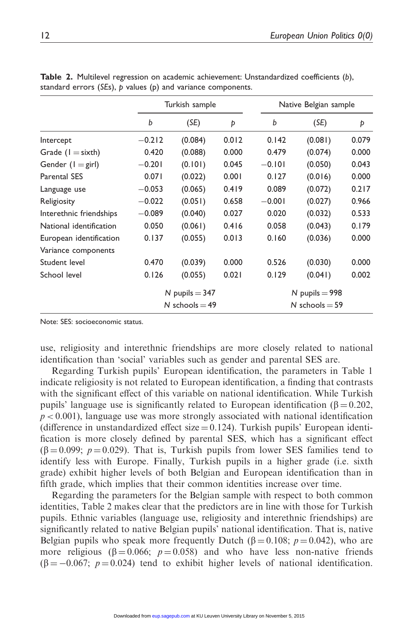|                            | Turkish sample                       |         |       | Native Belgian sample |                  |       |  |
|----------------------------|--------------------------------------|---------|-------|-----------------------|------------------|-------|--|
|                            | b                                    | (SE)    | Þ     | b                     | (SE)             | Þ     |  |
| Intercept                  | $-0.212$                             | (0.084) | 0.012 | 0.142                 | (0.081)          | 0.079 |  |
| Grade $(I = sixth)$        | 0.420                                | (0.088) | 0.000 | 0.479                 | (0.074)          | 0.000 |  |
| Gender $(I = \text{girl})$ | $-0.201$                             | (0.101) | 0.045 | $-0.101$              | (0.050)          | 0.043 |  |
| <b>Parental SES</b>        | 0.071                                | (0.022) | 0.001 | 0.127                 | (0.016)          | 0.000 |  |
| Language use               | $-0.053$                             | (0.065) | 0.419 | 0.089                 | (0.072)          | 0.217 |  |
| Religiosity                | $-0.022$                             | (0.051) | 0.658 | $-0.001$              | (0.027)          | 0.966 |  |
| Interethnic friendships    | $-0.089$                             | (0.040) | 0.027 | 0.020                 | (0.032)          | 0.533 |  |
| National identification    | 0.050                                | (0.061) | 0.416 | 0.058                 | (0.043)          | 0.179 |  |
| European identification    | 0.137                                | (0.055) | 0.013 | 0.160                 | (0.036)          | 0.000 |  |
| Variance components        |                                      |         |       |                       |                  |       |  |
| Student level              | 0.470                                | (0.039) | 0.000 | 0.526                 | (0.030)          | 0.000 |  |
| School level               | 0.126                                | (0.055) | 0.021 | 0.129                 | (0.041)          | 0.002 |  |
|                            | N pupils $=$ 347<br>N schools $=$ 49 |         |       |                       | N pupils $=$ 998 |       |  |
|                            |                                      |         |       |                       | N schools $=$ 59 |       |  |

Table 2. Multilevel regression on academic achievement: Unstandardized coefficients (b), standard errors (SEs), p values (p) and variance components.

Note: SES: socioeconomic status.

use, religiosity and interethnic friendships are more closely related to national identification than 'social' variables such as gender and parental SES are.

Regarding Turkish pupils' European identification, the parameters in Table 1 indicate religiosity is not related to European identification, a finding that contrasts with the significant effect of this variable on national identification. While Turkish pupils' language use is significantly related to European identification ( $\beta = 0.202$ ,  $p < 0.001$ ), language use was more strongly associated with national identification (difference in unstandardized effect size  $= 0.124$ ). Turkish pupils' European identification is more closely defined by parental SES, which has a significant effect  $(\beta = 0.099; p = 0.029)$ . That is, Turkish pupils from lower SES families tend to identify less with Europe. Finally, Turkish pupils in a higher grade (i.e. sixth grade) exhibit higher levels of both Belgian and European identification than in fifth grade, which implies that their common identities increase over time.

Regarding the parameters for the Belgian sample with respect to both common identities, Table 2 makes clear that the predictors are in line with those for Turkish pupils. Ethnic variables (language use, religiosity and interethnic friendships) are significantly related to native Belgian pupils' national identification. That is, native Belgian pupils who speak more frequently Dutch ( $\beta = 0.108$ ;  $p = 0.042$ ), who are more religious ( $\beta = 0.066$ ;  $p = 0.058$ ) and who have less non-native friends  $(\beta = -0.067; p = 0.024)$  tend to exhibit higher levels of national identification.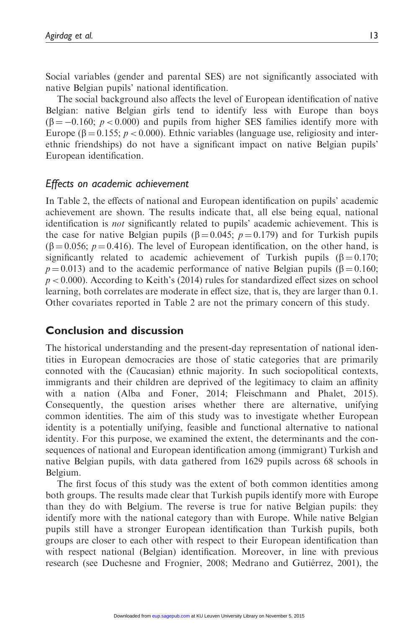Social variables (gender and parental SES) are not significantly associated with native Belgian pupils' national identification.

The social background also affects the level of European identification of native Belgian: native Belgian girls tend to identify less with Europe than boys  $(\beta = -0.160; p < 0.000)$  and pupils from higher SES families identify more with Europe ( $\beta = 0.155$ ;  $p < 0.000$ ). Ethnic variables (language use, religiosity and interethnic friendships) do not have a significant impact on native Belgian pupils' European identification.

## Effects on academic achievement

In Table 2, the effects of national and European identification on pupils' academic achievement are shown. The results indicate that, all else being equal, national identification is not significantly related to pupils' academic achievement. This is the case for native Belgian pupils ( $\beta = 0.045$ ;  $p = 0.179$ ) and for Turkish pupils  $(\beta = 0.056; p = 0.416)$ . The level of European identification, on the other hand, is significantly related to academic achievement of Turkish pupils  $(\beta = 0.170)$ ;  $p = 0.013$ ) and to the academic performance of native Belgian pupils ( $\beta = 0.160$ ;  $p < 0.000$ ). According to Keith's (2014) rules for standardized effect sizes on school learning, both correlates are moderate in effect size, that is, they are larger than 0.1. Other covariates reported in Table 2 are not the primary concern of this study.

## Conclusion and discussion

The historical understanding and the present-day representation of national identities in European democracies are those of static categories that are primarily connoted with the (Caucasian) ethnic majority. In such sociopolitical contexts, immigrants and their children are deprived of the legitimacy to claim an affinity with a nation (Alba and Foner, 2014; Fleischmann and Phalet, 2015). Consequently, the question arises whether there are alternative, unifying common identities. The aim of this study was to investigate whether European identity is a potentially unifying, feasible and functional alternative to national identity. For this purpose, we examined the extent, the determinants and the consequences of national and European identification among (immigrant) Turkish and native Belgian pupils, with data gathered from 1629 pupils across 68 schools in Belgium.

The first focus of this study was the extent of both common identities among both groups. The results made clear that Turkish pupils identify more with Europe than they do with Belgium. The reverse is true for native Belgian pupils: they identify more with the national category than with Europe. While native Belgian pupils still have a stronger European identification than Turkish pupils, both groups are closer to each other with respect to their European identification than with respect national (Belgian) identification. Moreover, in line with previous research (see Duchesne and Frognier, 2008; Medrano and Gutiérrez, 2001), the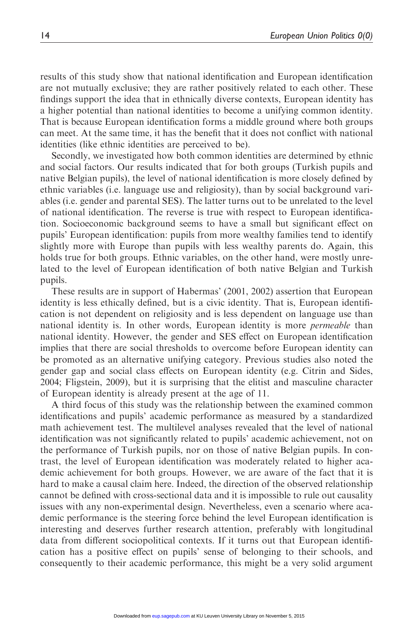results of this study show that national identification and European identification are not mutually exclusive; they are rather positively related to each other. These findings support the idea that in ethnically diverse contexts, European identity has a higher potential than national identities to become a unifying common identity. That is because European identification forms a middle ground where both groups can meet. At the same time, it has the benefit that it does not conflict with national identities (like ethnic identities are perceived to be).

Secondly, we investigated how both common identities are determined by ethnic and social factors. Our results indicated that for both groups (Turkish pupils and native Belgian pupils), the level of national identification is more closely defined by ethnic variables (i.e. language use and religiosity), than by social background variables (i.e. gender and parental SES). The latter turns out to be unrelated to the level of national identification. The reverse is true with respect to European identification. Socioeconomic background seems to have a small but significant effect on pupils' European identification: pupils from more wealthy families tend to identify slightly more with Europe than pupils with less wealthy parents do. Again, this holds true for both groups. Ethnic variables, on the other hand, were mostly unrelated to the level of European identification of both native Belgian and Turkish pupils.

These results are in support of Habermas' (2001, 2002) assertion that European identity is less ethically defined, but is a civic identity. That is, European identification is not dependent on religiosity and is less dependent on language use than national identity is. In other words, European identity is more *permeable* than national identity. However, the gender and SES effect on European identification implies that there are social thresholds to overcome before European identity can be promoted as an alternative unifying category. Previous studies also noted the gender gap and social class effects on European identity (e.g. Citrin and Sides, 2004; Fligstein, 2009), but it is surprising that the elitist and masculine character of European identity is already present at the age of 11.

A third focus of this study was the relationship between the examined common identifications and pupils' academic performance as measured by a standardized math achievement test. The multilevel analyses revealed that the level of national identification was not significantly related to pupils' academic achievement, not on the performance of Turkish pupils, nor on those of native Belgian pupils. In contrast, the level of European identification was moderately related to higher academic achievement for both groups. However, we are aware of the fact that it is hard to make a causal claim here. Indeed, the direction of the observed relationship cannot be defined with cross-sectional data and it is impossible to rule out causality issues with any non-experimental design. Nevertheless, even a scenario where academic performance is the steering force behind the level European identification is interesting and deserves further research attention, preferably with longitudinal data from different sociopolitical contexts. If it turns out that European identification has a positive effect on pupils' sense of belonging to their schools, and consequently to their academic performance, this might be a very solid argument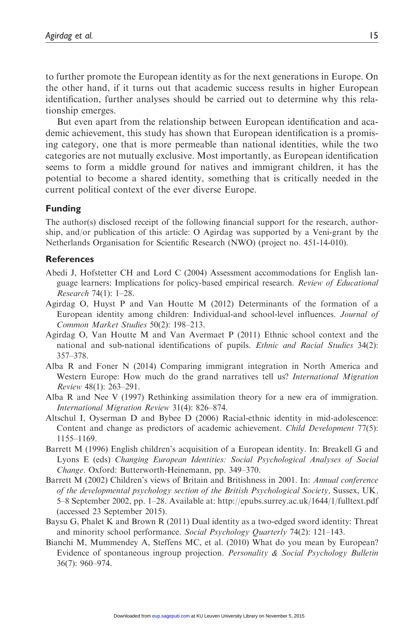to further promote the European identity as for the next generations in Europe. On the other hand, if it turns out that academic success results in higher European identification, further analyses should be carried out to determine why this relationship emerges.

But even apart from the relationship between European identification and academic achievement, this study has shown that European identification is a promising category, one that is more permeable than national identities, while the two categories are not mutually exclusive. Most importantly, as European identification seems to form a middle ground for natives and immigrant children, it has the potential to become a shared identity, something that is critically needed in the current political context of the ever diverse Europe.

#### Funding

The author(s) disclosed receipt of the following financial support for the research, authorship, and/or publication of this article: O Agirdag was supported by a Veni-grant by the Netherlands Organisation for Scientific Research (NWO) (project no. 451-14-010).

#### **References**

- Abedi J, Hofstetter CH and Lord C (2004) Assessment accommodations for English language learners: Implications for policy-based empirical research. Review of Educational Research 74(1): 1–28.
- Agirdag O, Huyst P and Van Houtte M (2012) Determinants of the formation of a European identity among children: Individual-and school-level influences. Journal of Common Market Studies 50(2): 198–213.
- Agirdag O, Van Houtte M and Van Avermaet P (2011) Ethnic school context and the national and sub-national identifications of pupils. Ethnic and Racial Studies 34(2): 357–378.
- Alba R and Foner N (2014) Comparing immigrant integration in North America and Western Europe: How much do the grand narratives tell us? *International Migration* Review 48(1): 263–291.
- Alba R and Nee V (1997) Rethinking assimilation theory for a new era of immigration. International Migration Review 31(4): 826–874.
- Altschul I, Oyserman D and Bybee D (2006) Racial-ethnic identity in mid-adolescence: Content and change as predictors of academic achievement. Child Development 77(5): 1155–1169.
- Barrett M (1996) English children's acquisition of a European identity. In: Breakell G and Lyons E (eds) Changing European Identities: Social Psychological Analyses of Social Change. Oxford: Butterworth-Heinemann, pp. 349–370.
- Barrett M (2002) Children's views of Britain and Britishness in 2001. In: Annual conference of the developmental psychology section of the British Psychological Society, Sussex, UK, 5–8 September 2002, pp. 1–28. Available at:<http://epubs.surrey.ac.uk/1644/1/fulltext.pdf> (accessed 23 September 2015).
- Baysu G, Phalet K and Brown R (2011) Dual identity as a two-edged sword identity: Threat and minority school performance. Social Psychology Quarterly 74(2): 121–143.
- Bianchi M, Mummendey A, Steffens MC, et al. (2010) What do you mean by European? Evidence of spontaneous ingroup projection. Personality & Social Psychology Bulletin 36(7): 960–974.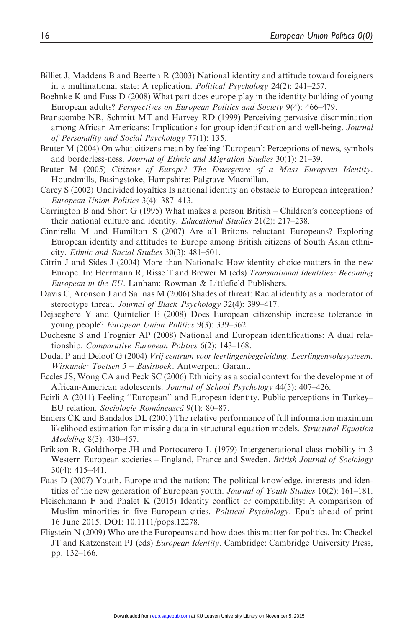- Billiet J, Maddens B and Beerten R (2003) National identity and attitude toward foreigners in a multinational state: A replication. Political Psychology 24(2): 241–257.
- Boehnke K and Fuss D (2008) What part does europe play in the identity building of young European adults? Perspectives on European Politics and Society 9(4): 466–479.
- Branscombe NR, Schmitt MT and Harvey RD (1999) Perceiving pervasive discrimination among African Americans: Implications for group identification and well-being. Journal of Personality and Social Psychology 77(1): 135.
- Bruter M (2004) On what citizens mean by feeling 'European': Perceptions of news, symbols and borderless-ness. Journal of Ethnic and Migration Studies 30(1): 21–39.
- Bruter M (2005) Citizens of Europe? The Emergence of a Mass European Identity. Houndmills, Basingstoke, Hampshire: Palgrave Macmillan.
- Carey S (2002) Undivided loyalties Is national identity an obstacle to European integration? European Union Politics 3(4): 387–413.
- Carrington B and Short G (1995) What makes a person British Children's conceptions of their national culture and identity. Educational Studies 21(2): 217–238.
- Cinnirella M and Hamilton S (2007) Are all Britons reluctant Europeans? Exploring European identity and attitudes to Europe among British citizens of South Asian ethnicity. Ethnic and Racial Studies 30(3): 481–501.
- Citrin J and Sides J (2004) More than Nationals: How identity choice matters in the new Europe. In: Herrmann R, Risse T and Brewer M (eds) Transnational Identities: Becoming European in the EU. Lanham: Rowman & Littlefield Publishers.
- Davis C, Aronson J and Salinas M (2006) Shades of threat: Racial identity as a moderator of stereotype threat. Journal of Black Psychology 32(4): 399–417.
- Dejaeghere Y and Quintelier E (2008) Does European citizenship increase tolerance in young people? European Union Politics 9(3): 339–362.
- Duchesne S and Frognier AP (2008) National and European identifications: A dual relationship. Comparative European Politics 6(2): 143–168.
- Dudal P and Deloof G (2004) Vrij centrum voor leerlingenbegeleiding. Leerlingenvolgsysteem. Wiskunde: Toetsen 5 – Basisboek. Antwerpen: Garant.
- Eccles JS, Wong CA and Peck SC (2006) Ethnicity as a social context for the development of African-American adolescents. Journal of School Psychology 44(5): 407–426.
- Ecirli A (2011) Feeling ''European'' and European identity. Public perceptions in Turkey– EU relation. Sociologie Românească 9(1): 80–87.
- Enders CK and Bandalos DL (2001) The relative performance of full information maximum likelihood estimation for missing data in structural equation models. Structural Equation Modeling 8(3): 430–457.
- Erikson R, Goldthorpe JH and Portocarero L (1979) Intergenerational class mobility in 3 Western European societies – England, France and Sweden. British Journal of Sociology 30(4): 415–441.
- Faas D (2007) Youth, Europe and the nation: The political knowledge, interests and identities of the new generation of European youth. Journal of Youth Studies 10(2): 161–181.
- Fleischmann F and Phalet K (2015) Identity conflict or compatibility: A comparison of Muslim minorities in five European cities. *Political Psychology*. Epub ahead of print 16 June 2015. DOI: 10.1111/pops.12278.
- Fligstein N (2009) Who are the Europeans and how does this matter for politics. In: Checkel JT and Katzenstein PJ (eds) European Identity. Cambridge: Cambridge University Press, pp. 132–166.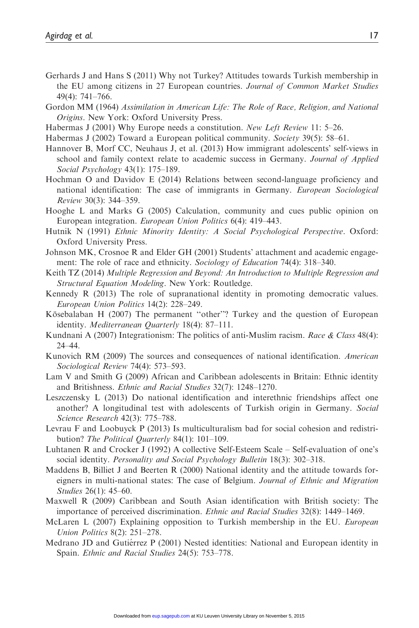- Gerhards J and Hans S (2011) Why not Turkey? Attitudes towards Turkish membership in the EU among citizens in 27 European countries. Journal of Common Market Studies 49(4): 741–766.
- Gordon MM (1964) Assimilation in American Life: The Role of Race, Religion, and National Origins. New York: Oxford University Press.
- Habermas J (2001) Why Europe needs a constitution. New Left Review 11: 5–26.
- Habermas J (2002) Toward a European political community. Society 39(5): 58-61.
- Hannover B, Morf CC, Neuhaus J, et al. (2013) How immigrant adolescents' self-views in school and family context relate to academic success in Germany. Journal of Applied Social Psychology 43(1): 175–189.
- Hochman O and Davidov E (2014) Relations between second-language proficiency and national identification: The case of immigrants in Germany. *European Sociological* Review 30(3): 344–359.
- Hooghe L and Marks G (2005) Calculation, community and cues public opinion on European integration. European Union Politics 6(4): 419–443.
- Hutnik N (1991) Ethnic Minority Identity: A Social Psychological Perspective. Oxford: Oxford University Press.
- Johnson MK, Crosnoe R and Elder GH (2001) Students' attachment and academic engagement: The role of race and ethnicity. Sociology of Education 74(4): 318–340.
- Keith TZ (2014) Multiple Regression and Beyond: An Introduction to Multiple Regression and Structural Equation Modeling. New York: Routledge.
- Kennedy R (2013) The role of supranational identity in promoting democratic values. European Union Politics 14(2): 228–249.
- Kösebalaban H (2007) The permanent "other"? Turkey and the question of European identity. Mediterranean Quarterly 18(4): 87–111.
- Kundnani A (2007) Integrationism: The politics of anti-Muslim racism. Race & Class 48(4): 24–44.
- Kunovich RM (2009) The sources and consequences of national identification. American Sociological Review 74(4): 573–593.
- Lam V and Smith G (2009) African and Caribbean adolescents in Britain: Ethnic identity and Britishness. Ethnic and Racial Studies 32(7): 1248–1270.
- Leszczensky L (2013) Do national identification and interethnic friendships affect one another? A longitudinal test with adolescents of Turkish origin in Germany. Social Science Research 42(3): 775–788.
- Levrau F and Loobuyck P (2013) Is multiculturalism bad for social cohesion and redistribution? The Political Quarterly 84(1): 101–109.
- Luhtanen R and Crocker J (1992) A collective Self-Esteem Scale Self-evaluation of one's social identity. Personality and Social Psychology Bulletin 18(3): 302–318.
- Maddens B, Billiet J and Beerten R (2000) National identity and the attitude towards foreigners in multi-national states: The case of Belgium. Journal of Ethnic and Migration Studies 26(1): 45–60.
- Maxwell R (2009) Caribbean and South Asian identification with British society: The importance of perceived discrimination. Ethnic and Racial Studies 32(8): 1449–1469.
- McLaren L (2007) Explaining opposition to Turkish membership in the EU. *European* Union Politics 8(2): 251–278.
- Medrano JD and Gutiérrez P (2001) Nested identities: National and European identity in Spain. Ethnic and Racial Studies 24(5): 753–778.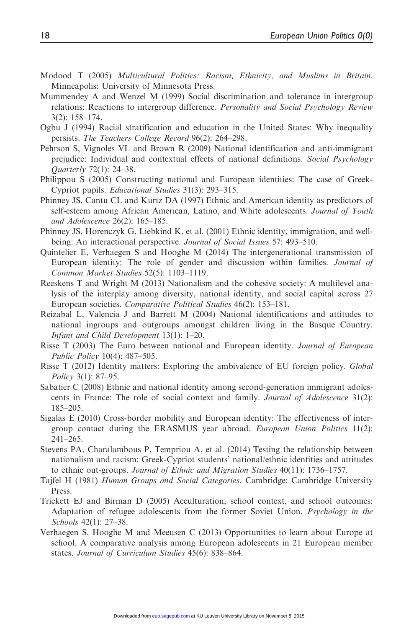- Modood T (2005) Multicultural Politics: Racism, Ethnicity, and Muslims in Britain. Minneapolis: University of Minnesota Press.
- Mummendey A and Wenzel M (1999) Social discrimination and tolerance in intergroup relations: Reactions to intergroup difference. Personality and Social Psychology Review 3(2): 158–174.
- Ogbu J (1994) Racial stratification and education in the United States: Why inequality persists. The Teachers College Record 96(2): 264–298.
- Pehrson S, Vignoles VL and Brown R (2009) National identification and anti-immigrant prejudice: Individual and contextual effects of national definitions. Social Psychology Quarterly 72(1): 24–38.
- Philippou S (2005) Constructing national and European identities: The case of Greek-Cypriot pupils. Educational Studies 31(3): 293–315.
- Phinney JS, Cantu CL and Kurtz DA (1997) Ethnic and American identity as predictors of self-esteem among African American, Latino, and White adolescents. Journal of Youth and Adolescence 26(2): 165–185.
- Phinney JS, Horenczyk G, Liebkind K, et al. (2001) Ethnic identity, immigration, and wellbeing: An interactional perspective. Journal of Social Issues 57: 493–510.
- Quintelier E, Verhaegen S and Hooghe M (2014) The intergenerational transmission of European identity: The role of gender and discussion within families. Journal of Common Market Studies 52(5): 1103–1119.
- Reeskens T and Wright M (2013) Nationalism and the cohesive society: A multilevel analysis of the interplay among diversity, national identity, and social capital across 27 European societies. Comparative Political Studies 46(2): 153–181.
- Reizabal L, Valencia J and Barrett M (2004) National identifications and attitudes to national ingroups and outgroups amongst children living in the Basque Country. Infant and Child Development 13(1): 1–20.
- Risse T (2003) The Euro between national and European identity. Journal of European Public Policy 10(4): 487–505.
- Risse T (2012) Identity matters: Exploring the ambivalence of EU foreign policy. Global Policy 3(1): 87–95.
- Sabatier C (2008) Ethnic and national identity among second-generation immigrant adolescents in France: The role of social context and family. Journal of Adolescence 31(2): 185–205.
- Sigalas E (2010) Cross-border mobility and European identity: The effectiveness of intergroup contact during the ERASMUS year abroad. European Union Politics 11(2): 241–265.
- Stevens PA, Charalambous P, Tempriou A, et al. (2014) Testing the relationship between nationalism and racism: Greek-Cypriot students' national/ethnic identities and attitudes to ethnic out-groups. Journal of Ethnic and Migration Studies 40(11): 1736–1757.
- Tajfel H (1981) Human Groups and Social Categories. Cambridge: Cambridge University Press.
- Trickett EJ and Birman D (2005) Acculturation, school context, and school outcomes: Adaptation of refugee adolescents from the former Soviet Union. Psychology in the Schools 42(1): 27–38.
- Verhaegen S, Hooghe M and Meeusen C (2013) Opportunities to learn about Europe at school. A comparative analysis among European adolescents in 21 European member states. Journal of Curriculum Studies 45(6): 838–864.